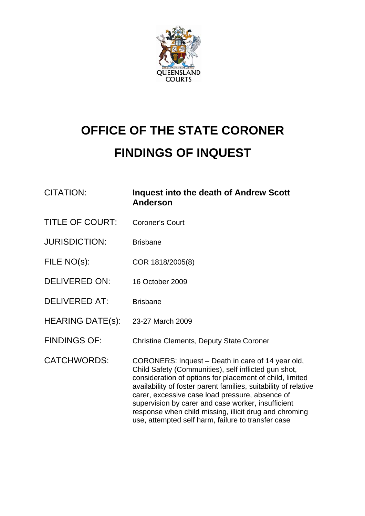

# **OFFICE OF THE STATE CORONER FINDINGS OF INQUEST**

| <b>CITATION:</b>        | <b>Inquest into the death of Andrew Scott</b><br><b>Anderson</b>                                                                                                                                                                                                                                                                                                                                                                                                  |
|-------------------------|-------------------------------------------------------------------------------------------------------------------------------------------------------------------------------------------------------------------------------------------------------------------------------------------------------------------------------------------------------------------------------------------------------------------------------------------------------------------|
| <b>TITLE OF COURT:</b>  | <b>Coroner's Court</b>                                                                                                                                                                                                                                                                                                                                                                                                                                            |
| <b>JURISDICTION:</b>    | <b>Brisbane</b>                                                                                                                                                                                                                                                                                                                                                                                                                                                   |
| FILE NO(s):             | COR 1818/2005(8)                                                                                                                                                                                                                                                                                                                                                                                                                                                  |
| <b>DELIVERED ON:</b>    | 16 October 2009                                                                                                                                                                                                                                                                                                                                                                                                                                                   |
| <b>DELIVERED AT:</b>    | <b>Brisbane</b>                                                                                                                                                                                                                                                                                                                                                                                                                                                   |
| <b>HEARING DATE(s):</b> | 23-27 March 2009                                                                                                                                                                                                                                                                                                                                                                                                                                                  |
| <b>FINDINGS OF:</b>     | <b>Christine Clements, Deputy State Coroner</b>                                                                                                                                                                                                                                                                                                                                                                                                                   |
| <b>CATCHWORDS:</b>      | CORONERS: Inquest - Death in care of 14 year old,<br>Child Safety (Communities), self inflicted gun shot,<br>consideration of options for placement of child, limited<br>availability of foster parent families, suitability of relative<br>carer, excessive case load pressure, absence of<br>supervision by carer and case worker, insufficient<br>response when child missing, illicit drug and chroming<br>use, attempted self harm, failure to transfer case |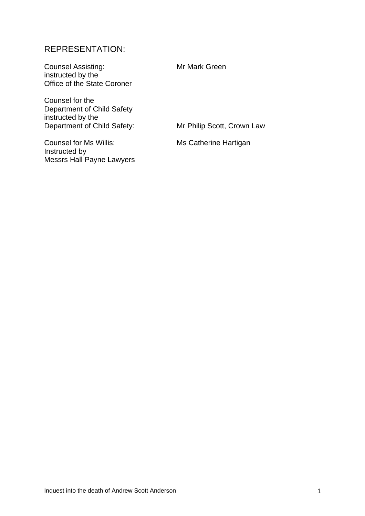# REPRESENTATION:

Counsel Assisting: Mr Mark Green instructed by the Office of the State Coroner

Counsel for the Department of Child Safety instructed by the Department of Child Safety: Mr Philip Scott, Crown Law

Counsel for Ms Willis: Ms Catherine Hartigan Instructed by Messrs Hall Payne Lawyers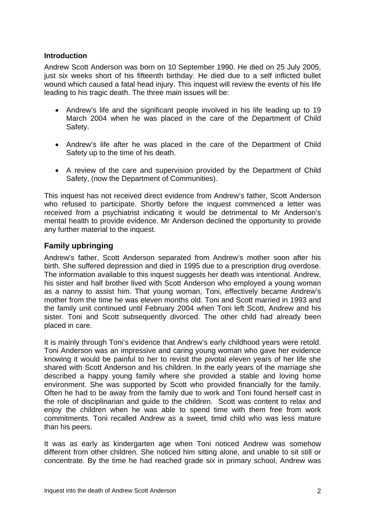### **Introduction**

Andrew Scott Anderson was born on 10 September 1990. He died on 25 July 2005, just six weeks short of his fifteenth birthday. He died due to a self inflicted bullet wound which caused a fatal head injury. This inquest will review the events of his life leading to his tragic death. The three main issues will be:

- Andrew's life and the significant people involved in his life leading up to 19 March 2004 when he was placed in the care of the Department of Child Safety.
- Andrew's life after he was placed in the care of the Department of Child Safety up to the time of his death.
- A review of the care and supervision provided by the Department of Child Safety, (now the Department of Communities).

This inquest has not received direct evidence from Andrew's father, Scott Anderson who refused to participate. Shortly before the inquest commenced a letter was received from a psychiatrist indicating it would be detrimental to Mr Anderson's mental health to provide evidence. Mr Anderson declined the opportunity to provide any further material to the inquest.

# **Family upbringing**

Andrew's father, Scott Anderson separated from Andrew's mother soon after his birth. She suffered depression and died in 1995 due to a prescription drug overdose. The information available to this inquest suggests her death was intentional. Andrew, his sister and half brother lived with Scott Anderson who employed a young woman as a nanny to assist him. That young woman, Toni, effectively became Andrew's mother from the time he was eleven months old. Toni and Scott married in 1993 and the family unit continued until February 2004 when Toni left Scott, Andrew and his sister. Toni and Scott subsequently divorced. The other child had already been placed in care.

It is mainly through Toni's evidence that Andrew's early childhood years were retold. Toni Anderson was an impressive and caring young woman who gave her evidence knowing it would be painful to her to revisit the pivotal eleven years of her life she shared with Scott Anderson and his children. In the early years of the marriage she described a happy young family where she provided a stable and loving home environment. She was supported by Scott who provided financially for the family. Often he had to be away from the family due to work and Toni found herself cast in the role of disciplinarian and guide to the children. Scott was content to relax and enjoy the children when he was able to spend time with them free from work commitments. Toni recalled Andrew as a sweet, timid child who was less mature than his peers.

It was as early as kindergarten age when Toni noticed Andrew was somehow different from other children. She noticed him sitting alone, and unable to sit still or concentrate. By the time he had reached grade six in primary school, Andrew was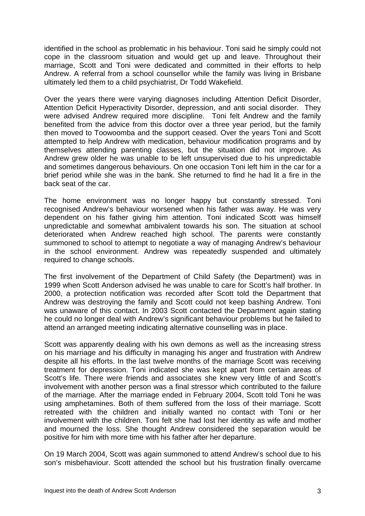identified in the school as problematic in his behaviour. Toni said he simply could not cope in the classroom situation and would get up and leave. Throughout their marriage, Scott and Toni were dedicated and committed in their efforts to help Andrew. A referral from a school counsellor while the family was living in Brisbane ultimately led them to a child psychiatrist, Dr Todd Wakefield.

Over the years there were varying diagnoses including Attention Deficit Disorder, Attention Deficit Hyperactivity Disorder, depression, and anti social disorder. They were advised Andrew required more discipline. Toni felt Andrew and the family benefited from the advice from this doctor over a three year period, but the family then moved to Toowoomba and the support ceased. Over the years Toni and Scott attempted to help Andrew with medication, behaviour modification programs and by themselves attending parenting classes, but the situation did not improve. As Andrew grew older he was unable to be left unsupervised due to his unpredictable and sometimes dangerous behaviours. On one occasion Toni left him in the car for a brief period while she was in the bank. She returned to find he had lit a fire in the back seat of the car.

The home environment was no longer happy but constantly stressed. Toni recognised Andrew's behaviour worsened when his father was away. He was very dependent on his father giving him attention. Toni indicated Scott was himself unpredictable and somewhat ambivalent towards his son. The situation at school deteriorated when Andrew reached high school. The parents were constantly summoned to school to attempt to negotiate a way of managing Andrew's behaviour in the school environment. Andrew was repeatedly suspended and ultimately required to change schools.

The first involvement of the Department of Child Safety (the Department) was in 1999 when Scott Anderson advised he was unable to care for Scott's half brother. In 2000, a protection notification was recorded after Scott told the Department that Andrew was destroying the family and Scott could not keep bashing Andrew. Toni was unaware of this contact. In 2003 Scott contacted the Department again stating he could no longer deal with Andrew's significant behaviour problems but he failed to attend an arranged meeting indicating alternative counselling was in place.

Scott was apparently dealing with his own demons as well as the increasing stress on his marriage and his difficulty in managing his anger and frustration with Andrew despite all his efforts. In the last twelve months of the marriage Scott was receiving treatment for depression. Toni indicated she was kept apart from certain areas of Scott's life. There were friends and associates she knew very little of and Scott's involvement with another person was a final stressor which contributed to the failure of the marriage. After the marriage ended in February 2004, Scott told Toni he was using amphetamines. Both of them suffered from the loss of their marriage. Scott retreated with the children and initially wanted no contact with Toni or her involvement with the children. Toni felt she had lost her identity as wife and mother and mourned the loss. She thought Andrew considered the separation would be positive for him with more time with his father after her departure.

On 19 March 2004, Scott was again summoned to attend Andrew's school due to his son's misbehaviour. Scott attended the school but his frustration finally overcame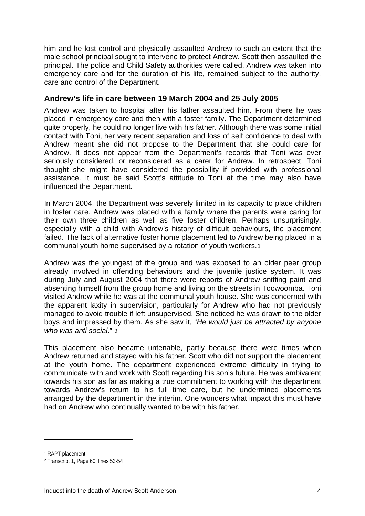him and he lost control and physically assaulted Andrew to such an extent that the male school principal sought to intervene to protect Andrew. Scott then assaulted the principal. The police and Child Safety authorities were called. Andrew was taken into emergency care and for the duration of his life, remained subject to the authority, care and control of the Department.

## **Andrew's life in care between 19 March 2004 and 25 July 2005**

Andrew was taken to hospital after his father assaulted him. From there he was placed in emergency care and then with a foster family. The Department determined quite properly, he could no longer live with his father. Although there was some initial contact with Toni, her very recent separation and loss of self confidence to deal with Andrew meant she did not propose to the Department that she could care for Andrew. It does not appear from the Department's records that Toni was ever seriously considered, or reconsidered as a carer for Andrew. In retrospect, Toni thought she might have considered the possibility if provided with professional assistance. It must be said Scott's attitude to Toni at the time may also have influenced the Department.

In March 2004, the Department was severely limited in its capacity to place children in foster care. Andrew was placed with a family where the parents were caring for their own three children as well as five foster children. Perhaps unsurprisingly, especially with a child with Andrew's history of difficult behaviours, the placement failed. The lack of alternative foster home placement led to Andrew being placed in a communal youth home supervised by a rotation of youth workers.[1](#page-4-0)

Andrew was the youngest of the group and was exposed to an older peer group already involved in offending behaviours and the juvenile justice system. It was during July and August 2004 that there were reports of Andrew sniffing paint and absenting himself from the group home and living on the streets in Toowoomba. Toni visited Andrew while he was at the communal youth house. She was concerned with the apparent laxity in supervision, particularly for Andrew who had not previously managed to avoid trouble if left unsupervised. She noticed he was drawn to the older boys and impressed by them. As she saw it, "*He would just be attracted by anyone who was anti social*." [2](#page-4-1)

This placement also became untenable, partly because there were times when Andrew returned and stayed with his father, Scott who did not support the placement at the youth home. The department experienced extreme difficulty in trying to communicate with and work with Scott regarding his son's future. He was ambivalent towards his son as far as making a true commitment to working with the department towards Andrew's return to his full time care, but he undermined placements arranged by the department in the interim. One wonders what impact this must have had on Andrew who continually wanted to be with his father.

<span id="page-4-0"></span><sup>1</sup> RAPT placement

<span id="page-4-1"></span><sup>2</sup> Transcript 1, Page 60, lines 53-54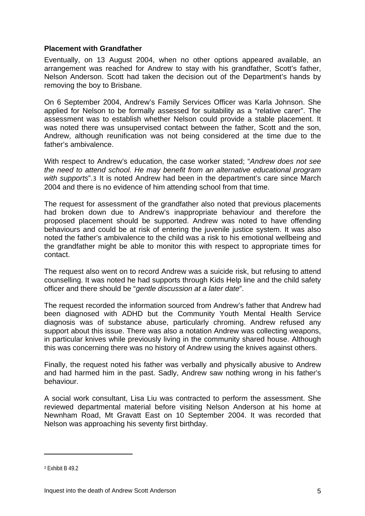#### **Placement with Grandfather**

Eventually, on 13 August 2004, when no other options appeared available, an arrangement was reached for Andrew to stay with his grandfather, Scott's father, Nelson Anderson. Scott had taken the decision out of the Department's hands by removing the boy to Brisbane.

On 6 September 2004, Andrew's Family Services Officer was Karla Johnson. She applied for Nelson to be formally assessed for suitability as a "relative carer". The assessment was to establish whether Nelson could provide a stable placement. It was noted there was unsupervised contact between the father, Scott and the son, Andrew, although reunification was not being considered at the time due to the father's ambivalence.

With respect to Andrew's education, the case worker stated; "*Andrew does not see the need to attend school. He may benefit from an alternative educational program with supports*".[3](#page-5-0) It is noted Andrew had been in the department's care since March 2004 and there is no evidence of him attending school from that time.

The request for assessment of the grandfather also noted that previous placements had broken down due to Andrew's inappropriate behaviour and therefore the proposed placement should be supported. Andrew was noted to have offending behaviours and could be at risk of entering the juvenile justice system. It was also noted the father's ambivalence to the child was a risk to his emotional wellbeing and the grandfather might be able to monitor this with respect to appropriate times for contact.

The request also went on to record Andrew was a suicide risk, but refusing to attend counselling. It was noted he had supports through Kids Help line and the child safety officer and there should be "*gentle discussion at a later date*".

The request recorded the information sourced from Andrew's father that Andrew had been diagnosed with ADHD but the Community Youth Mental Health Service diagnosis was of substance abuse, particularly chroming. Andrew refused any support about this issue. There was also a notation Andrew was collecting weapons, in particular knives while previously living in the community shared house. Although this was concerning there was no history of Andrew using the knives against others.

Finally, the request noted his father was verbally and physically abusive to Andrew and had harmed him in the past. Sadly, Andrew saw nothing wrong in his father's behaviour.

A social work consultant, Lisa Liu was contracted to perform the assessment. She reviewed departmental material before visiting Nelson Anderson at his home at Newnham Road, Mt Gravatt East on 10 September 2004. It was recorded that Nelson was approaching his seventy first birthday.

<span id="page-5-0"></span><sup>&</sup>lt;sup>3</sup> Fxhibit B 49.2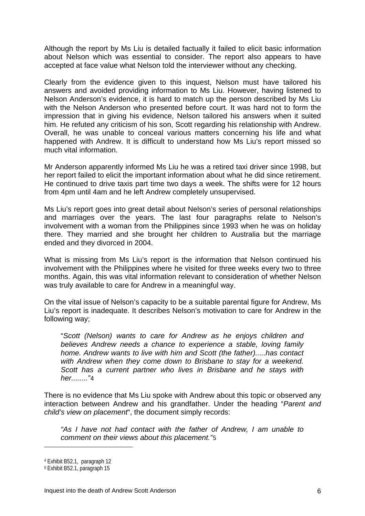Although the report by Ms Liu is detailed factually it failed to elicit basic information about Nelson which was essential to consider. The report also appears to have accepted at face value what Nelson told the interviewer without any checking.

Clearly from the evidence given to this inquest, Nelson must have tailored his answers and avoided providing information to Ms Liu. However, having listened to Nelson Anderson's evidence, it is hard to match up the person described by Ms Liu with the Nelson Anderson who presented before court. It was hard not to form the impression that in giving his evidence, Nelson tailored his answers when it suited him. He refuted any criticism of his son, Scott regarding his relationship with Andrew. Overall, he was unable to conceal various matters concerning his life and what happened with Andrew. It is difficult to understand how Ms Liu's report missed so much vital information.

Mr Anderson apparently informed Ms Liu he was a retired taxi driver since 1998, but her report failed to elicit the important information about what he did since retirement. He continued to drive taxis part time two days a week. The shifts were for 12 hours from 4pm until 4am and he left Andrew completely unsupervised.

Ms Liu's report goes into great detail about Nelson's series of personal relationships and marriages over the years. The last four paragraphs relate to Nelson's involvement with a woman from the Philippines since 1993 when he was on holiday there. They married and she brought her children to Australia but the marriage ended and they divorced in 2004.

What is missing from Ms Liu's report is the information that Nelson continued his involvement with the Philippines where he visited for three weeks every two to three months. Again, this was vital information relevant to consideration of whether Nelson was truly available to care for Andrew in a meaningful way.

On the vital issue of Nelson's capacity to be a suitable parental figure for Andrew, Ms Liu's report is inadequate. It describes Nelson's motivation to care for Andrew in the following way;

"*Scott (Nelson) wants to care for Andrew as he enjoys children and believes Andrew needs a chance to experience a stable, loving family home. Andrew wants to live with him and Scott (the father).....has contact with Andrew when they come down to Brisbane to stay for a weekend. Scott has a current partner who lives in Brisbane and he stays with her........"*[4](#page-6-0)

There is no evidence that Ms Liu spoke with Andrew about this topic or observed any interaction between Andrew and his grandfather. Under the heading "*Parent and child's view on placement*", the document simply records:

*"As I have not had contact with the father of Andrew, I am unable to comment on their views about this placement."*[5](#page-6-1)

<span id="page-6-0"></span><sup>4</sup> Exhibit B52.1, paragraph 12

<span id="page-6-1"></span><sup>5</sup> Exhibit B52.1, paragraph 15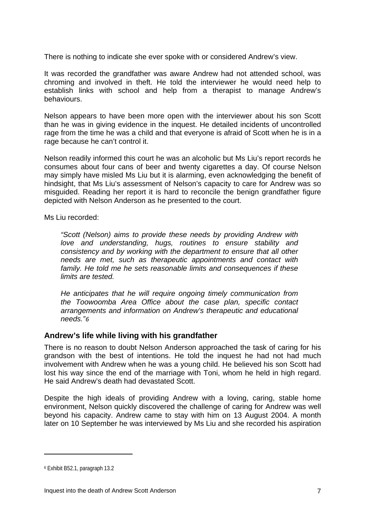There is nothing to indicate she ever spoke with or considered Andrew's view.

It was recorded the grandfather was aware Andrew had not attended school, was chroming and involved in theft. He told the interviewer he would need help to establish links with school and help from a therapist to manage Andrew's behaviours.

Nelson appears to have been more open with the interviewer about his son Scott than he was in giving evidence in the inquest. He detailed incidents of uncontrolled rage from the time he was a child and that everyone is afraid of Scott when he is in a rage because he can't control it.

Nelson readily informed this court he was an alcoholic but Ms Liu's report records he consumes about four cans of beer and twenty cigarettes a day. Of course Nelson may simply have misled Ms Liu but it is alarming, even acknowledging the benefit of hindsight, that Ms Liu's assessment of Nelson's capacity to care for Andrew was so misguided. Reading her report it is hard to reconcile the benign grandfather figure depicted with Nelson Anderson as he presented to the court.

Ms Liu recorded:

*"Scott (Nelson) aims to provide these needs by providing Andrew with love and understanding, hugs, routines to ensure stability and consistency and by working with the department to ensure that all other needs are met, such as therapeutic appointments and contact with family. He told me he sets reasonable limits and consequences if these limits are tested.* 

*He anticipates that he will require ongoing timely communication from the Toowoomba Area Office about the case plan, specific contact arrangements and information on Andrew's therapeutic and educational needs."[6](#page-7-0)*

# **Andrew's life while living with his grandfather**

There is no reason to doubt Nelson Anderson approached the task of caring for his grandson with the best of intentions. He told the inquest he had not had much involvement with Andrew when he was a young child. He believed his son Scott had lost his way since the end of the marriage with Toni, whom he held in high regard. He said Andrew's death had devastated Scott.

Despite the high ideals of providing Andrew with a loving, caring, stable home environment, Nelson quickly discovered the challenge of caring for Andrew was well beyond his capacity. Andrew came to stay with him on 13 August 2004. A month later on 10 September he was interviewed by Ms Liu and she recorded his aspiration

<span id="page-7-0"></span><sup>6</sup> Exhibit B52.1, paragraph 13.2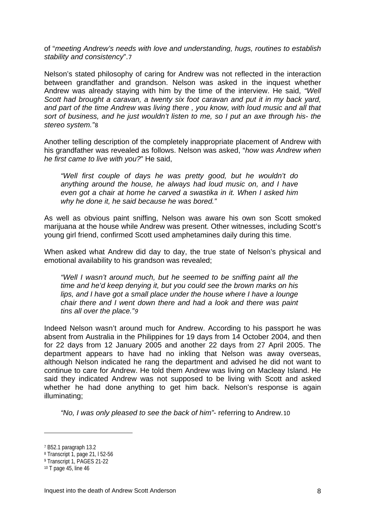of "*meeting Andrew's needs with love and understanding, hugs, routines to establish stability and consistency*".[7](#page-8-0)

Nelson's stated philosophy of caring for Andrew was not reflected in the interaction between grandfather and grandson. Nelson was asked in the inquest whether Andrew was already staying with him by the time of the interview. He said, *"Well Scott had brought a caravan, a twenty six foot caravan and put it in my back yard, and part of the time Andrew was living there , you know, with loud music and all that sort of business, and he just wouldn't listen to me, so I put an axe through his- the stereo system."*[8](#page-8-1)

Another telling description of the completely inappropriate placement of Andrew with his grandfather was revealed as follows. Nelson was asked, "*how was Andrew when he first came to live with you?*" He said,

*"Well first couple of days he was pretty good, but he wouldn't do anything around the house, he always had loud music on, and I have even got a chair at home he carved a swastika in it. When I asked him why he done it, he said because he was bored."* 

As well as obvious paint sniffing, Nelson was aware his own son Scott smoked marijuana at the house while Andrew was present. Other witnesses, including Scott's young girl friend, confirmed Scott used amphetamines daily during this time.

When asked what Andrew did day to day, the true state of Nelson's physical and emotional availability to his grandson was revealed;

*"Well I wasn't around much, but he seemed to be sniffing paint all the time and he'd keep denying it, but you could see the brown marks on his lips, and I have got a small place under the house where I have a lounge chair there and I went down there and had a look and there was paint tins all over the place."[9](#page-8-2)* 

Indeed Nelson wasn't around much for Andrew. According to his passport he was absent from Australia in the Philippines for 19 days from 14 October 2004, and then for 22 days from 12 January 2005 and another 22 days from 27 April 2005. The department appears to have had no inkling that Nelson was away overseas, although Nelson indicated he rang the department and advised he did not want to continue to care for Andrew. He told them Andrew was living on Macleay Island. He said they indicated Andrew was not supposed to be living with Scott and asked whether he had done anything to get him back. Nelson's response is again illuminating;

*"No, I was only pleased to see the back of him"*- referring to Andrew.[10](#page-8-3)

<span id="page-8-0"></span><sup>7</sup> B52.1 paragraph 13.2

<span id="page-8-1"></span><sup>8</sup> Transcript 1, page 21, l 52-56

<span id="page-8-2"></span><sup>9</sup> Transcript 1, PAGES 21-22

<span id="page-8-3"></span><sup>10</sup> T page 45, line 46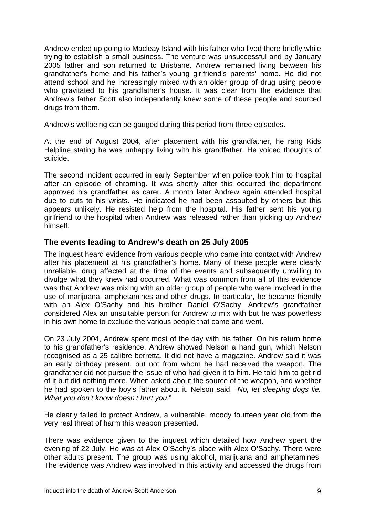Andrew ended up going to Macleay Island with his father who lived there briefly while trying to establish a small business. The venture was unsuccessful and by January 2005 father and son returned to Brisbane. Andrew remained living between his grandfather's home and his father's young girlfriend's parents' home. He did not attend school and he increasingly mixed with an older group of drug using people who gravitated to his grandfather's house. It was clear from the evidence that Andrew's father Scott also independently knew some of these people and sourced drugs from them.

Andrew's wellbeing can be gauged during this period from three episodes.

At the end of August 2004, after placement with his grandfather, he rang Kids Helpline stating he was unhappy living with his grandfather. He voiced thoughts of suicide.

The second incident occurred in early September when police took him to hospital after an episode of chroming. It was shortly after this occurred the department approved his grandfather as carer. A month later Andrew again attended hospital due to cuts to his wrists. He indicated he had been assaulted by others but this appears unlikely. He resisted help from the hospital. His father sent his young girlfriend to the hospital when Andrew was released rather than picking up Andrew himself.

# **The events leading to Andrew's death on 25 July 2005**

The inquest heard evidence from various people who came into contact with Andrew after his placement at his grandfather's home. Many of these people were clearly unreliable, drug affected at the time of the events and subsequently unwilling to divulge what they knew had occurred. What was common from all of this evidence was that Andrew was mixing with an older group of people who were involved in the use of marijuana, amphetamines and other drugs. In particular, he became friendly with an Alex O'Sachy and his brother Daniel O'Sachy. Andrew's grandfather considered Alex an unsuitable person for Andrew to mix with but he was powerless in his own home to exclude the various people that came and went.

On 23 July 2004, Andrew spent most of the day with his father. On his return home to his grandfather's residence, Andrew showed Nelson a hand gun, which Nelson recognised as a 25 calibre berretta. It did not have a magazine. Andrew said it was an early birthday present, but not from whom he had received the weapon. The grandfather did not pursue the issue of who had given it to him. He told him to get rid of it but did nothing more. When asked about the source of the weapon, and whether he had spoken to the boy's father about it, Nelson said, *"No, let sleeping dogs lie. What you don't know doesn't hurt you*."

He clearly failed to protect Andrew, a vulnerable, moody fourteen year old from the very real threat of harm this weapon presented.

There was evidence given to the inquest which detailed how Andrew spent the evening of 22 July. He was at Alex O'Sachy's place with Alex O'Sachy. There were other adults present. The group was using alcohol, marijuana and amphetamines. The evidence was Andrew was involved in this activity and accessed the drugs from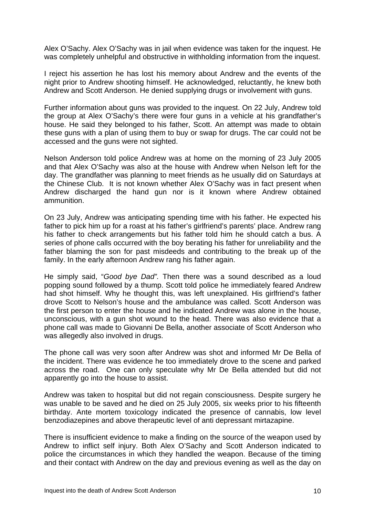Alex O'Sachy. Alex O'Sachy was in jail when evidence was taken for the inquest. He was completely unhelpful and obstructive in withholding information from the inquest.

I reject his assertion he has lost his memory about Andrew and the events of the night prior to Andrew shooting himself. He acknowledged, reluctantly, he knew both Andrew and Scott Anderson. He denied supplying drugs or involvement with guns.

Further information about guns was provided to the inquest. On 22 July, Andrew told the group at Alex O'Sachy's there were four guns in a vehicle at his grandfather's house. He said they belonged to his father, Scott. An attempt was made to obtain these guns with a plan of using them to buy or swap for drugs. The car could not be accessed and the guns were not sighted.

Nelson Anderson told police Andrew was at home on the morning of 23 July 2005 and that Alex O'Sachy was also at the house with Andrew when Nelson left for the day. The grandfather was planning to meet friends as he usually did on Saturdays at the Chinese Club. It is not known whether Alex O'Sachy was in fact present when Andrew discharged the hand gun nor is it known where Andrew obtained ammunition.

On 23 July, Andrew was anticipating spending time with his father. He expected his father to pick him up for a roast at his father's girlfriend's parents' place. Andrew rang his father to check arrangements but his father told him he should catch a bus. A series of phone calls occurred with the boy berating his father for unreliability and the father blaming the son for past misdeeds and contributing to the break up of the family. In the early afternoon Andrew rang his father again.

He simply said, "*Good bye Dad".* Then there was a sound described as a loud popping sound followed by a thump. Scott told police he immediately feared Andrew had shot himself. Why he thought this, was left unexplained. His girlfriend's father drove Scott to Nelson's house and the ambulance was called. Scott Anderson was the first person to enter the house and he indicated Andrew was alone in the house, unconscious, with a gun shot wound to the head. There was also evidence that a phone call was made to Giovanni De Bella, another associate of Scott Anderson who was allegedly also involved in drugs.

The phone call was very soon after Andrew was shot and informed Mr De Bella of the incident. There was evidence he too immediately drove to the scene and parked across the road. One can only speculate why Mr De Bella attended but did not apparently go into the house to assist.

Andrew was taken to hospital but did not regain consciousness. Despite surgery he was unable to be saved and he died on 25 July 2005, six weeks prior to his fifteenth birthday. Ante mortem toxicology indicated the presence of cannabis, low level benzodiazepines and above therapeutic level of anti depressant mirtazapine.

There is insufficient evidence to make a finding on the source of the weapon used by Andrew to inflict self injury. Both Alex O'Sachy and Scott Anderson indicated to police the circumstances in which they handled the weapon. Because of the timing and their contact with Andrew on the day and previous evening as well as the day on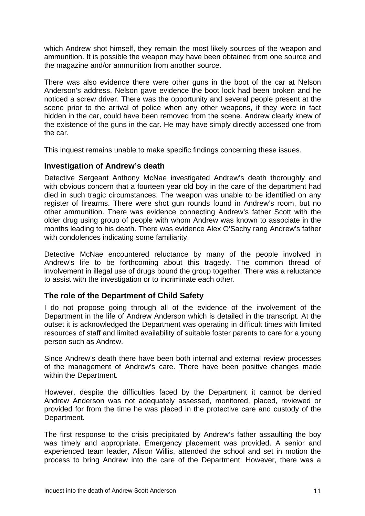which Andrew shot himself, they remain the most likely sources of the weapon and ammunition. It is possible the weapon may have been obtained from one source and the magazine and/or ammunition from another source.

There was also evidence there were other guns in the boot of the car at Nelson Anderson's address. Nelson gave evidence the boot lock had been broken and he noticed a screw driver. There was the opportunity and several people present at the scene prior to the arrival of police when any other weapons, if they were in fact hidden in the car, could have been removed from the scene. Andrew clearly knew of the existence of the guns in the car. He may have simply directly accessed one from the car.

This inquest remains unable to make specific findings concerning these issues.

# **Investigation of Andrew's death**

Detective Sergeant Anthony McNae investigated Andrew's death thoroughly and with obvious concern that a fourteen year old boy in the care of the department had died in such tragic circumstances. The weapon was unable to be identified on any register of firearms. There were shot gun rounds found in Andrew's room, but no other ammunition. There was evidence connecting Andrew's father Scott with the older drug using group of people with whom Andrew was known to associate in the months leading to his death. There was evidence Alex O'Sachy rang Andrew's father with condolences indicating some familiarity.

Detective McNae encountered reluctance by many of the people involved in Andrew's life to be forthcoming about this tragedy. The common thread of involvement in illegal use of drugs bound the group together. There was a reluctance to assist with the investigation or to incriminate each other.

# **The role of the Department of Child Safety**

I do not propose going through all of the evidence of the involvement of the Department in the life of Andrew Anderson which is detailed in the transcript. At the outset it is acknowledged the Department was operating in difficult times with limited resources of staff and limited availability of suitable foster parents to care for a young person such as Andrew.

Since Andrew's death there have been both internal and external review processes of the management of Andrew's care. There have been positive changes made within the Department.

However, despite the difficulties faced by the Department it cannot be denied Andrew Anderson was not adequately assessed, monitored, placed, reviewed or provided for from the time he was placed in the protective care and custody of the Department.

The first response to the crisis precipitated by Andrew's father assaulting the boy was timely and appropriate. Emergency placement was provided. A senior and experienced team leader, Alison Willis, attended the school and set in motion the process to bring Andrew into the care of the Department. However, there was a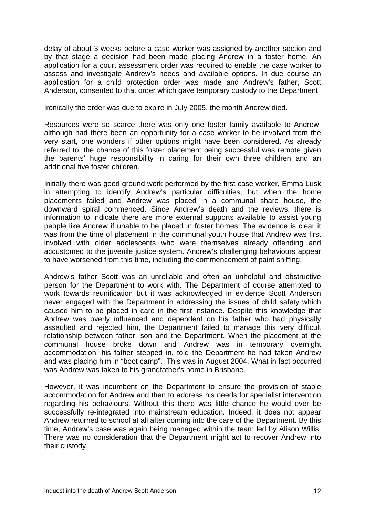delay of about 3 weeks before a case worker was assigned by another section and by that stage a decision had been made placing Andrew in a foster home. An application for a court assessment order was required to enable the case worker to assess and investigate Andrew's needs and available options. In due course an application for a child protection order was made and Andrew's father, Scott Anderson, consented to that order which gave temporary custody to the Department.

Ironically the order was due to expire in July 2005, the month Andrew died.

Resources were so scarce there was only one foster family available to Andrew, although had there been an opportunity for a case worker to be involved from the very start, one wonders if other options might have been considered. As already referred to, the chance of this foster placement being successful was remote given the parents' huge responsibility in caring for their own three children and an additional five foster children.

Initially there was good ground work performed by the first case worker, Emma Lusk in attempting to identify Andrew's particular difficulties, but when the home placements failed and Andrew was placed in a communal share house, the downward spiral commenced. Since Andrew's death and the reviews, there is information to indicate there are more external supports available to assist young people like Andrew if unable to be placed in foster homes. The evidence is clear it was from the time of placement in the communal youth house that Andrew was first involved with older adolescents who were themselves already offending and accustomed to the juvenile justice system. Andrew's challenging behaviours appear to have worsened from this time, including the commencement of paint sniffing.

Andrew's father Scott was an unreliable and often an unhelpful and obstructive person for the Department to work with. The Department of course attempted to work towards reunification but it was acknowledged in evidence Scott Anderson never engaged with the Department in addressing the issues of child safety which caused him to be placed in care in the first instance. Despite this knowledge that Andrew was overly influenced and dependent on his father who had physically assaulted and rejected him, the Department failed to manage this very difficult relationship between father, son and the Department. When the placement at the communal house broke down and Andrew was in temporary overnight accommodation, his father stepped in, told the Department he had taken Andrew and was placing him in "boot camp". This was in August 2004. What in fact occurred was Andrew was taken to his grandfather's home in Brisbane.

However, it was incumbent on the Department to ensure the provision of stable accommodation for Andrew and then to address his needs for specialist intervention regarding his behaviours. Without this there was little chance he would ever be successfully re-integrated into mainstream education. Indeed, it does not appear Andrew returned to school at all after coming into the care of the Department. By this time, Andrew's case was again being managed within the team led by Alison Willis. There was no consideration that the Department might act to recover Andrew into their custody.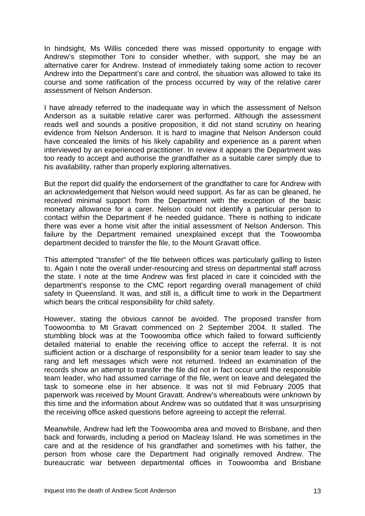In hindsight, Ms Willis conceded there was missed opportunity to engage with Andrew's stepmother Toni to consider whether, with support, she may be an alternative carer for Andrew. Instead of immediately taking some action to recover Andrew into the Department's care and control, the situation was allowed to take its course and some ratification of the process occurred by way of the relative carer assessment of Nelson Anderson.

I have already referred to the inadequate way in which the assessment of Nelson Anderson as a suitable relative carer was performed. Although the assessment reads well and sounds a positive proposition, it did not stand scrutiny on hearing evidence from Nelson Anderson. It is hard to imagine that Nelson Anderson could have concealed the limits of his likely capability and experience as a parent when interviewed by an experienced practitioner. In review it appears the Department was too ready to accept and authorise the grandfather as a suitable carer simply due to his availability, rather than properly exploring alternatives.

But the report did qualify the endorsement of the grandfather to care for Andrew with an acknowledgement that Nelson would need support. As far as can be gleaned, he received minimal support from the Department with the exception of the basic monetary allowance for a carer. Nelson could not identify a particular person to contact within the Department if he needed guidance. There is nothing to indicate there was ever a home visit after the initial assessment of Nelson Anderson. This failure by the Department remained unexplained except that the Toowoomba department decided to transfer the file, to the Mount Gravatt office.

This attempted "transfer" of the file between offices was particularly galling to listen to. Again I note the overall under-resourcing and stress on departmental staff across the state. I note at the time Andrew was first placed in care it coincided with the department's response to the CMC report regarding overall management of child safety in Queensland. It was, and still is, a difficult time to work in the Department which bears the critical responsibility for child safety.

However, stating the obvious cannot be avoided. The proposed transfer from Toowoomba to Mt Gravatt commenced on 2 September 2004. It stalled. The stumbling block was at the Toowoomba office which failed to forward sufficiently detailed material to enable the receiving office to accept the referral. It is not sufficient action or a discharge of responsibility for a senior team leader to say she rang and left messages which were not returned. Indeed an examination of the records show an attempt to transfer the file did not in fact occur until the responsible team leader, who had assumed carriage of the file, went on leave and delegated the task to someone else in her absence. It was not til mid February 2005 that paperwork was received by Mount Gravatt. Andrew's whereabouts were unknown by this time and the information about Andrew was so outdated that it was unsurprising the receiving office asked questions before agreeing to accept the referral.

Meanwhile, Andrew had left the Toowoomba area and moved to Brisbane, and then back and forwards, including a period on Macleay Island. He was sometimes in the care and at the residence of his grandfather and sometimes with his father, the person from whose care the Department had originally removed Andrew. The bureaucratic war between departmental offices in Toowoomba and Brisbane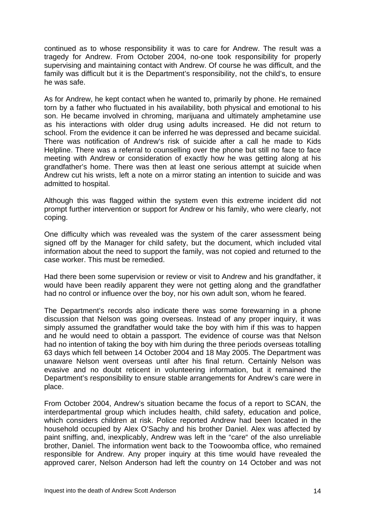continued as to whose responsibility it was to care for Andrew. The result was a tragedy for Andrew. From October 2004, no-one took responsibility for properly supervising and maintaining contact with Andrew. Of course he was difficult, and the family was difficult but it is the Department's responsibility, not the child's, to ensure he was safe.

As for Andrew, he kept contact when he wanted to, primarily by phone. He remained torn by a father who fluctuated in his availability, both physical and emotional to his son. He became involved in chroming, marijuana and ultimately amphetamine use as his interactions with older drug using adults increased. He did not return to school. From the evidence it can be inferred he was depressed and became suicidal. There was notification of Andrew's risk of suicide after a call he made to Kids Helpline. There was a referral to counselling over the phone but still no face to face meeting with Andrew or consideration of exactly how he was getting along at his grandfather's home. There was then at least one serious attempt at suicide when Andrew cut his wrists, left a note on a mirror stating an intention to suicide and was admitted to hospital.

Although this was flagged within the system even this extreme incident did not prompt further intervention or support for Andrew or his family, who were clearly, not coping.

One difficulty which was revealed was the system of the carer assessment being signed off by the Manager for child safety, but the document, which included vital information about the need to support the family, was not copied and returned to the case worker. This must be remedied.

Had there been some supervision or review or visit to Andrew and his grandfather, it would have been readily apparent they were not getting along and the grandfather had no control or influence over the boy, nor his own adult son, whom he feared.

The Department's records also indicate there was some forewarning in a phone discussion that Nelson was going overseas. Instead of any proper inquiry, it was simply assumed the grandfather would take the boy with him if this was to happen and he would need to obtain a passport. The evidence of course was that Nelson had no intention of taking the boy with him during the three periods overseas totalling 63 days which fell between 14 October 2004 and 18 May 2005. The Department was unaware Nelson went overseas until after his final return. Certainly Nelson was evasive and no doubt reticent in volunteering information, but it remained the Department's responsibility to ensure stable arrangements for Andrew's care were in place.

From October 2004, Andrew's situation became the focus of a report to SCAN, the interdepartmental group which includes health, child safety, education and police, which considers children at risk. Police reported Andrew had been located in the household occupied by Alex O'Sachy and his brother Daniel. Alex was affected by paint sniffing, and, inexplicably, Andrew was left in the "care" of the also unreliable brother, Daniel. The information went back to the Toowoomba office, who remained responsible for Andrew. Any proper inquiry at this time would have revealed the approved carer, Nelson Anderson had left the country on 14 October and was not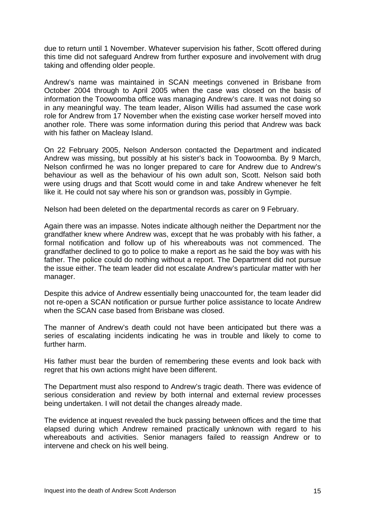due to return until 1 November. Whatever supervision his father, Scott offered during this time did not safeguard Andrew from further exposure and involvement with drug taking and offending older people.

Andrew's name was maintained in SCAN meetings convened in Brisbane from October 2004 through to April 2005 when the case was closed on the basis of information the Toowoomba office was managing Andrew's care. It was not doing so in any meaningful way. The team leader, Alison Willis had assumed the case work role for Andrew from 17 November when the existing case worker herself moved into another role. There was some information during this period that Andrew was back with his father on Macleay Island.

On 22 February 2005, Nelson Anderson contacted the Department and indicated Andrew was missing, but possibly at his sister's back in Toowoomba. By 9 March, Nelson confirmed he was no longer prepared to care for Andrew due to Andrew's behaviour as well as the behaviour of his own adult son, Scott. Nelson said both were using drugs and that Scott would come in and take Andrew whenever he felt like it. He could not say where his son or grandson was, possibly in Gympie.

Nelson had been deleted on the departmental records as carer on 9 February.

Again there was an impasse. Notes indicate although neither the Department nor the grandfather knew where Andrew was, except that he was probably with his father, a formal notification and follow up of his whereabouts was not commenced. The grandfather declined to go to police to make a report as he said the boy was with his father. The police could do nothing without a report. The Department did not pursue the issue either. The team leader did not escalate Andrew's particular matter with her manager.

Despite this advice of Andrew essentially being unaccounted for, the team leader did not re-open a SCAN notification or pursue further police assistance to locate Andrew when the SCAN case based from Brisbane was closed.

The manner of Andrew's death could not have been anticipated but there was a series of escalating incidents indicating he was in trouble and likely to come to further harm.

His father must bear the burden of remembering these events and look back with regret that his own actions might have been different.

The Department must also respond to Andrew's tragic death. There was evidence of serious consideration and review by both internal and external review processes being undertaken. I will not detail the changes already made.

The evidence at inquest revealed the buck passing between offices and the time that elapsed during which Andrew remained practically unknown with regard to his whereabouts and activities. Senior managers failed to reassign Andrew or to intervene and check on his well being.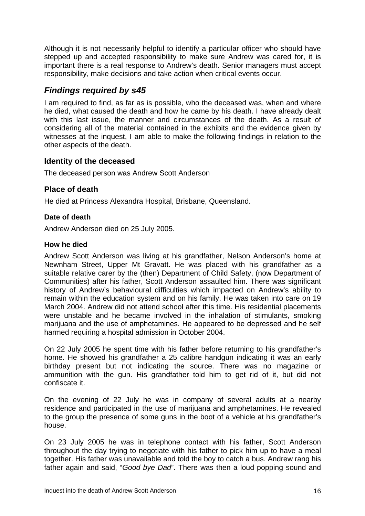Although it is not necessarily helpful to identify a particular officer who should have stepped up and accepted responsibility to make sure Andrew was cared for, it is important there is a real response to Andrew's death. Senior managers must accept responsibility, make decisions and take action when critical events occur.

# *Findings required by s45*

I am required to find, as far as is possible, who the deceased was, when and where he died, what caused the death and how he came by his death. I have already dealt with this last issue, the manner and circumstances of the death. As a result of considering all of the material contained in the exhibits and the evidence given by witnesses at the inquest, I am able to make the following findings in relation to the other aspects of the death.

# **Identity of the deceased**

The deceased person was Andrew Scott Anderson

# **Place of death**

He died at Princess Alexandra Hospital, Brisbane, Queensland.

# **Date of death**

Andrew Anderson died on 25 July 2005.

### **How he died**

Andrew Scott Anderson was living at his grandfather, Nelson Anderson's home at Newnham Street, Upper Mt Gravatt. He was placed with his grandfather as a suitable relative carer by the (then) Department of Child Safety, (now Department of Communities) after his father, Scott Anderson assaulted him. There was significant history of Andrew's behavioural difficulties which impacted on Andrew's ability to remain within the education system and on his family. He was taken into care on 19 March 2004. Andrew did not attend school after this time. His residential placements were unstable and he became involved in the inhalation of stimulants, smoking marijuana and the use of amphetamines. He appeared to be depressed and he self harmed requiring a hospital admission in October 2004.

On 22 July 2005 he spent time with his father before returning to his grandfather's home. He showed his grandfather a 25 calibre handgun indicating it was an early birthday present but not indicating the source. There was no magazine or ammunition with the gun. His grandfather told him to get rid of it, but did not confiscate it.

On the evening of 22 July he was in company of several adults at a nearby residence and participated in the use of marijuana and amphetamines. He revealed to the group the presence of some guns in the boot of a vehicle at his grandfather's house.

On 23 July 2005 he was in telephone contact with his father, Scott Anderson throughout the day trying to negotiate with his father to pick him up to have a meal together. His father was unavailable and told the boy to catch a bus. Andrew rang his father again and said, "*Good bye Dad*". There was then a loud popping sound and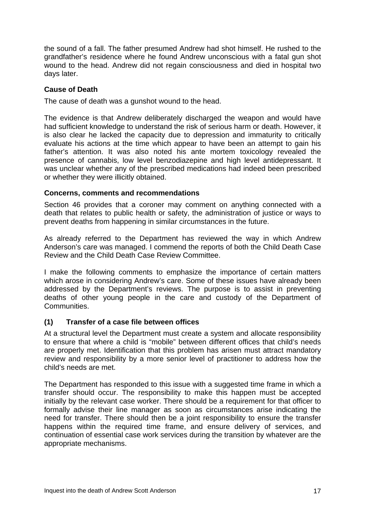the sound of a fall. The father presumed Andrew had shot himself. He rushed to the grandfather's residence where he found Andrew unconscious with a fatal gun shot wound to the head. Andrew did not regain consciousness and died in hospital two days later.

## **Cause of Death**

The cause of death was a gunshot wound to the head.

The evidence is that Andrew deliberately discharged the weapon and would have had sufficient knowledge to understand the risk of serious harm or death. However, it is also clear he lacked the capacity due to depression and immaturity to critically evaluate his actions at the time which appear to have been an attempt to gain his father's attention. It was also noted his ante mortem toxicology revealed the presence of cannabis, low level benzodiazepine and high level antidepressant. It was unclear whether any of the prescribed medications had indeed been prescribed or whether they were illicitly obtained.

#### **Concerns, comments and recommendations**

Section 46 provides that a coroner may comment on anything connected with a death that relates to public health or safety, the administration of justice or ways to prevent deaths from happening in similar circumstances in the future.

As already referred to the Department has reviewed the way in which Andrew Anderson's care was managed. I commend the reports of both the Child Death Case Review and the Child Death Case Review Committee.

I make the following comments to emphasize the importance of certain matters which arose in considering Andrew's care. Some of these issues have already been addressed by the Department's reviews. The purpose is to assist in preventing deaths of other young people in the care and custody of the Department of Communities.

#### **(1) Transfer of a case file between offices**

At a structural level the Department must create a system and allocate responsibility to ensure that where a child is "mobile" between different offices that child's needs are properly met. Identification that this problem has arisen must attract mandatory review and responsibility by a more senior level of practitioner to address how the child's needs are met.

The Department has responded to this issue with a suggested time frame in which a transfer should occur. The responsibility to make this happen must be accepted initially by the relevant case worker. There should be a requirement for that officer to formally advise their line manager as soon as circumstances arise indicating the need for transfer. There should then be a joint responsibility to ensure the transfer happens within the required time frame, and ensure delivery of services, and continuation of essential case work services during the transition by whatever are the appropriate mechanisms.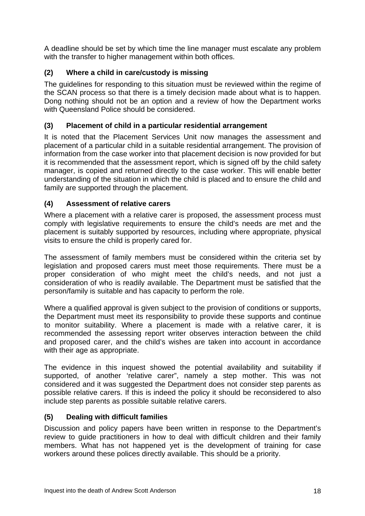A deadline should be set by which time the line manager must escalate any problem with the transfer to higher management within both offices.

# **(2) Where a child in care/custody is missing**

The guidelines for responding to this situation must be reviewed within the regime of the SCAN process so that there is a timely decision made about what is to happen. Dong nothing should not be an option and a review of how the Department works with Queensland Police should be considered.

# **(3) Placement of child in a particular residential arrangement**

It is noted that the Placement Services Unit now manages the assessment and placement of a particular child in a suitable residential arrangement. The provision of information from the case worker into that placement decision is now provided for but it is recommended that the assessment report, which is signed off by the child safety manager, is copied and returned directly to the case worker. This will enable better understanding of the situation in which the child is placed and to ensure the child and family are supported through the placement.

# **(4) Assessment of relative carers**

Where a placement with a relative carer is proposed, the assessment process must comply with legislative requirements to ensure the child's needs are met and the placement is suitably supported by resources, including where appropriate, physical visits to ensure the child is properly cared for.

The assessment of family members must be considered within the criteria set by legislation and proposed carers must meet those requirements. There must be a proper consideration of who might meet the child's needs, and not just a consideration of who is readily available. The Department must be satisfied that the person/family is suitable and has capacity to perform the role.

Where a qualified approval is given subject to the provision of conditions or supports, the Department must meet its responsibility to provide these supports and continue to monitor suitability. Where a placement is made with a relative carer, it is recommended the assessing report writer observes interaction between the child and proposed carer, and the child's wishes are taken into account in accordance with their age as appropriate.

The evidence in this inquest showed the potential availability and suitability if supported, of another 'relative carer", namely a step mother. This was not considered and it was suggested the Department does not consider step parents as possible relative carers. If this is indeed the policy it should be reconsidered to also include step parents as possible suitable relative carers.

# **(5) Dealing with difficult families**

Discussion and policy papers have been written in response to the Department's review to guide practitioners in how to deal with difficult children and their family members. What has not happened yet is the development of training for case workers around these polices directly available. This should be a priority.